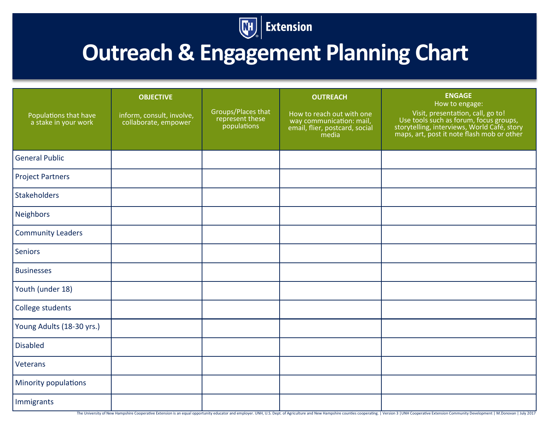

## **Outreach & Engagement Planning Chart**

| Populations that have<br>a stake in your work | <b>OBJECTIVE</b><br>inform, consult, involve,<br>collaborate, empower | Groups/Places that<br>represent these<br>populations | <b>OUTREACH</b><br>How to reach out with one<br>way communication: mail,<br>email, flier, postcard, social<br>media | <b>ENGAGE</b><br>How to engage:<br>Visit, presentation, call, go to!<br>Use tools such as forum, focus groups,<br>storytelling, interviews, World Café, story<br>maps, art, post it note flash mob or other |
|-----------------------------------------------|-----------------------------------------------------------------------|------------------------------------------------------|---------------------------------------------------------------------------------------------------------------------|-------------------------------------------------------------------------------------------------------------------------------------------------------------------------------------------------------------|
| <b>General Public</b>                         |                                                                       |                                                      |                                                                                                                     |                                                                                                                                                                                                             |
| <b>Project Partners</b>                       |                                                                       |                                                      |                                                                                                                     |                                                                                                                                                                                                             |
| <b>Stakeholders</b>                           |                                                                       |                                                      |                                                                                                                     |                                                                                                                                                                                                             |
| Neighbors                                     |                                                                       |                                                      |                                                                                                                     |                                                                                                                                                                                                             |
| <b>Community Leaders</b>                      |                                                                       |                                                      |                                                                                                                     |                                                                                                                                                                                                             |
| Seniors                                       |                                                                       |                                                      |                                                                                                                     |                                                                                                                                                                                                             |
| <b>Businesses</b>                             |                                                                       |                                                      |                                                                                                                     |                                                                                                                                                                                                             |
| Youth (under 18)                              |                                                                       |                                                      |                                                                                                                     |                                                                                                                                                                                                             |
| College students                              |                                                                       |                                                      |                                                                                                                     |                                                                                                                                                                                                             |
| Young Adults (18-30 yrs.)                     |                                                                       |                                                      |                                                                                                                     |                                                                                                                                                                                                             |
| <b>Disabled</b>                               |                                                                       |                                                      |                                                                                                                     |                                                                                                                                                                                                             |
| Veterans                                      |                                                                       |                                                      |                                                                                                                     |                                                                                                                                                                                                             |
| Minority populations                          |                                                                       |                                                      |                                                                                                                     |                                                                                                                                                                                                             |
| Immigrants                                    |                                                                       |                                                      |                                                                                                                     |                                                                                                                                                                                                             |